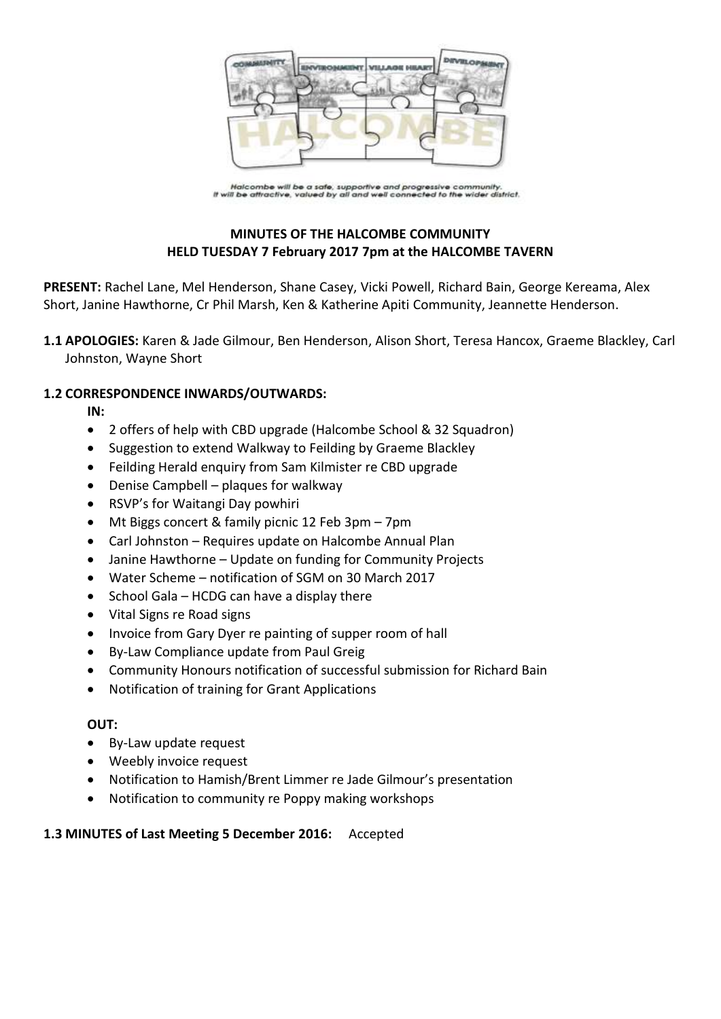

Halcombe will be a safe, supportive and progressive community.<br>If will be attractive, valued by all and well connected to the wider district.

# **MINUTES OF THE HALCOMBE COMMUNITY HELD TUESDAY 7 February 2017 7pm at the HALCOMBE TAVERN**

**PRESENT:** Rachel Lane, Mel Henderson, Shane Casey, Vicki Powell, Richard Bain, George Kereama, Alex Short, Janine Hawthorne, Cr Phil Marsh, Ken & Katherine Apiti Community, Jeannette Henderson.

**1.1 APOLOGIES:** Karen & Jade Gilmour, Ben Henderson, Alison Short, Teresa Hancox, Graeme Blackley, Carl Johnston, Wayne Short

# **1.2 CORRESPONDENCE INWARDS/OUTWARDS:**

**IN:** 

- 2 offers of help with CBD upgrade (Halcombe School & 32 Squadron)
- Suggestion to extend Walkway to Feilding by Graeme Blackley
- Feilding Herald enquiry from Sam Kilmister re CBD upgrade
- Denise Campbell plaques for walkway
- RSVP's for Waitangi Day powhiri
- Mt Biggs concert & family picnic 12 Feb 3pm 7pm
- Carl Johnston Requires update on Halcombe Annual Plan
- Janine Hawthorne Update on funding for Community Projects
- Water Scheme notification of SGM on 30 March 2017
- $\bullet$  School Gala HCDG can have a display there
- Vital Signs re Road signs
- Invoice from Gary Dyer re painting of supper room of hall
- By-Law Compliance update from Paul Greig
- Community Honours notification of successful submission for Richard Bain
- Notification of training for Grant Applications

### **OUT:**

- By-Law update request
- Weebly invoice request
- Notification to Hamish/Brent Limmer re Jade Gilmour's presentation
- Notification to community re Poppy making workshops

### **1.3 MINUTES of Last Meeting 5 December 2016:** Accepted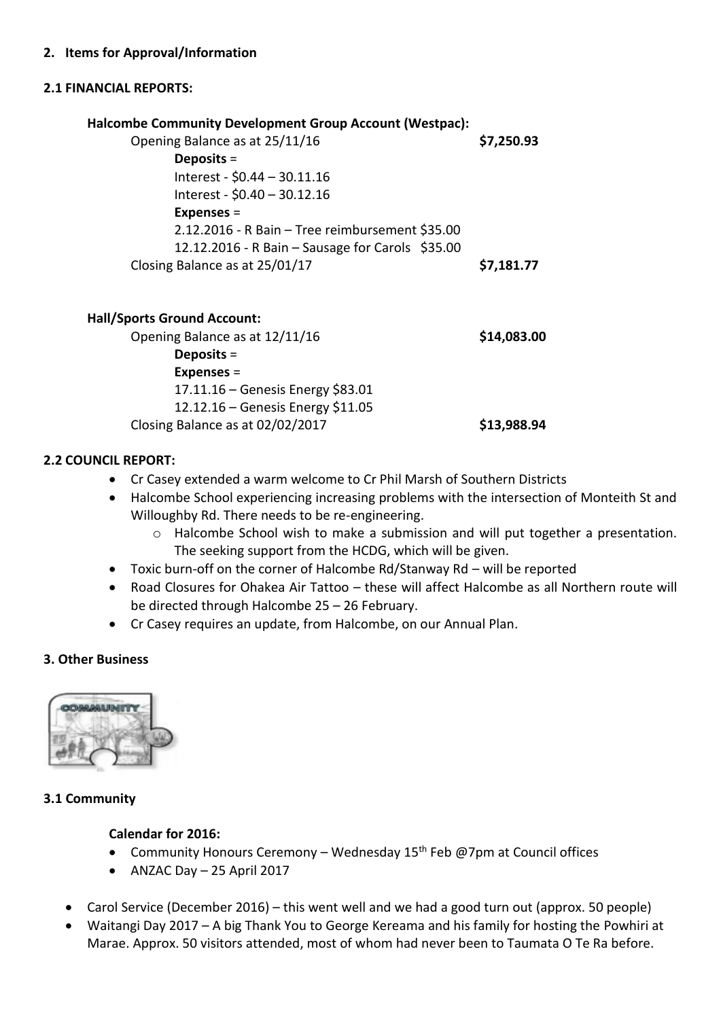# **2.1 FINANCIAL REPORTS:**

| <b>Halcombe Community Development Group Account (Westpac):</b> |             |
|----------------------------------------------------------------|-------------|
| Opening Balance as at 25/11/16                                 | \$7,250.93  |
| Deposits $=$                                                   |             |
| Interest - \$0.44 - 30.11.16                                   |             |
| Interest - \$0.40 - 30.12.16                                   |             |
| <b>Expenses =</b>                                              |             |
| 2.12.2016 - R Bain - Tree reimbursement \$35.00                |             |
| 12.12.2016 - R Bain - Sausage for Carols \$35.00               |             |
| Closing Balance as at 25/01/17                                 | \$7,181.77  |
| <b>Hall/Sports Ground Account:</b>                             |             |
| Opening Balance as at 12/11/16                                 | \$14,083.00 |
| Deposits $=$                                                   |             |
| <b>Expenses =</b>                                              |             |
| 17.11.16 – Genesis Energy \$83.01                              |             |
| 12.12.16 $Conocic Enorem 11.0E$                                |             |

12.12.16 – Genesis Energy \$11.05 Closing Balance as at 02/02/2017 **\$13,988.94**

# **2.2 COUNCIL REPORT:**

- Cr Casey extended a warm welcome to Cr Phil Marsh of Southern Districts
- Halcombe School experiencing increasing problems with the intersection of Monteith St and Willoughby Rd. There needs to be re-engineering.
	- o Halcombe School wish to make a submission and will put together a presentation. The seeking support from the HCDG, which will be given.
- Toxic burn-off on the corner of Halcombe Rd/Stanway Rd will be reported
- Road Closures for Ohakea Air Tattoo these will affect Halcombe as all Northern route will be directed through Halcombe 25 – 26 February.
- Cr Casey requires an update, from Halcombe, on our Annual Plan.

# **3. Other Business**



# **3.1 Community**

# **Calendar for 2016:**

- Community Honours Ceremony Wednesday  $15<sup>th</sup>$  Feb @7pm at Council offices
- $\bullet$  ANZAC Day  $-$  25 April 2017
- Carol Service (December 2016) this went well and we had a good turn out (approx. 50 people)
- Waitangi Day 2017 A big Thank You to George Kereama and his family for hosting the Powhiri at Marae. Approx. 50 visitors attended, most of whom had never been to Taumata O Te Ra before.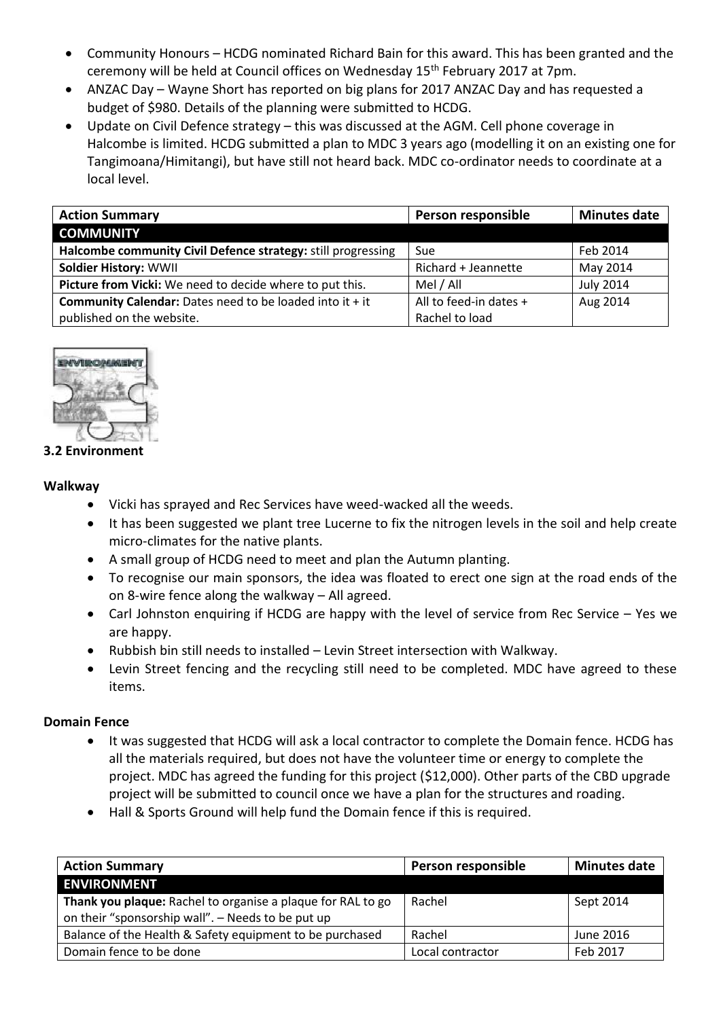- Community Honours HCDG nominated Richard Bain for this award. This has been granted and the ceremony will be held at Council offices on Wednesday 15<sup>th</sup> February 2017 at 7pm.
- ANZAC Day Wayne Short has reported on big plans for 2017 ANZAC Day and has requested a budget of \$980. Details of the planning were submitted to HCDG.
- Update on Civil Defence strategy this was discussed at the AGM. Cell phone coverage in Halcombe is limited. HCDG submitted a plan to MDC 3 years ago (modelling it on an existing one for Tangimoana/Himitangi), but have still not heard back. MDC co-ordinator needs to coordinate at a local level.

| <b>Action Summary</b>                                             | Person responsible     | <b>Minutes date</b> |
|-------------------------------------------------------------------|------------------------|---------------------|
| <b>COMMUNITY</b>                                                  |                        |                     |
| Halcombe community Civil Defence strategy: still progressing      | Sue                    | Feb 2014            |
| <b>Soldier History: WWII</b>                                      | Richard + Jeannette    | May 2014            |
| Picture from Vicki: We need to decide where to put this.          | Mel / All              | <b>July 2014</b>    |
| <b>Community Calendar:</b> Dates need to be loaded into it $+$ it | All to feed-in dates + | Aug 2014            |
| published on the website.                                         | Rachel to load         |                     |



# **3.2 Environment**

### **Walkway**

- Vicki has sprayed and Rec Services have weed-wacked all the weeds.
- It has been suggested we plant tree Lucerne to fix the nitrogen levels in the soil and help create micro-climates for the native plants.
- A small group of HCDG need to meet and plan the Autumn planting.
- To recognise our main sponsors, the idea was floated to erect one sign at the road ends of the on 8-wire fence along the walkway – All agreed.
- Carl Johnston enquiring if HCDG are happy with the level of service from Rec Service Yes we are happy.
- Rubbish bin still needs to installed Levin Street intersection with Walkway.
- Levin Street fencing and the recycling still need to be completed. MDC have agreed to these items.

# **Domain Fence**

- It was suggested that HCDG will ask a local contractor to complete the Domain fence. HCDG has all the materials required, but does not have the volunteer time or energy to complete the project. MDC has agreed the funding for this project (\$12,000). Other parts of the CBD upgrade project will be submitted to council once we have a plan for the structures and roading.
- Hall & Sports Ground will help fund the Domain fence if this is required.

| <b>Action Summary</b>                                       | Person responsible | <b>Minutes date</b> |
|-------------------------------------------------------------|--------------------|---------------------|
| <b>ENVIRONMENT</b>                                          |                    |                     |
| Thank you plaque: Rachel to organise a plaque for RAL to go | Rachel             | Sept 2014           |
| on their "sponsorship wall". - Needs to be put up           |                    |                     |
| Balance of the Health & Safety equipment to be purchased    | Rachel             | June 2016           |
| Domain fence to be done                                     | Local contractor   | Feb 2017            |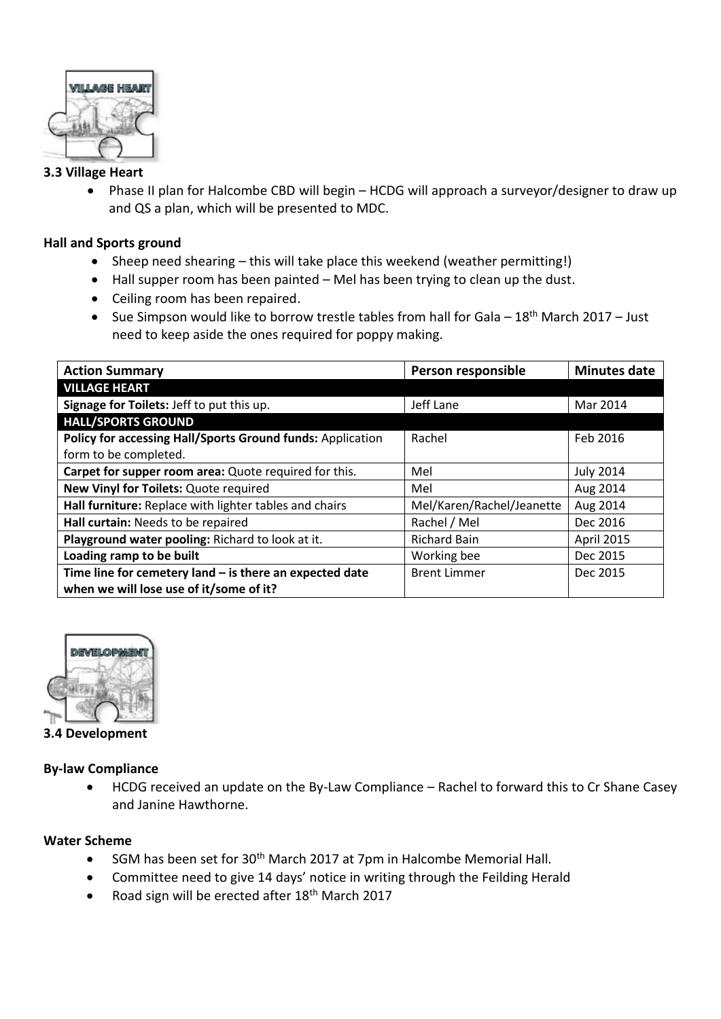

# **3.3 Village Heart**

 Phase II plan for Halcombe CBD will begin – HCDG will approach a surveyor/designer to draw up and QS a plan, which will be presented to MDC.

# **Hall and Sports ground**

- Sheep need shearing this will take place this weekend (weather permitting!)
- Hall supper room has been painted Mel has been trying to clean up the dust.
- Ceiling room has been repaired.
- Sue Simpson would like to borrow trestle tables from hall for Gala  $18<sup>th</sup>$  March 2017 Just need to keep aside the ones required for poppy making.

| <b>Action Summary</b>                                      | Person responsible        | <b>Minutes date</b> |
|------------------------------------------------------------|---------------------------|---------------------|
| <b>VILLAGE HEART</b>                                       |                           |                     |
| Signage for Toilets: Jeff to put this up.                  | Jeff Lane                 | Mar 2014            |
| <b>HALL/SPORTS GROUND</b>                                  |                           |                     |
| Policy for accessing Hall/Sports Ground funds: Application | Rachel                    | Feb 2016            |
| form to be completed.                                      |                           |                     |
| Carpet for supper room area: Quote required for this.      | Mel                       | <b>July 2014</b>    |
| New Vinyl for Toilets: Quote required                      | Mel                       | Aug 2014            |
| Hall furniture: Replace with lighter tables and chairs     | Mel/Karen/Rachel/Jeanette | Aug 2014            |
| Hall curtain: Needs to be repaired                         | Rachel / Mel              | Dec 2016            |
| Playground water pooling: Richard to look at it.           | <b>Richard Bain</b>       | April 2015          |
| Loading ramp to be built                                   | Working bee               | Dec 2015            |
| Time line for cemetery land $-$ is there an expected date  | <b>Brent Limmer</b>       | Dec 2015            |
| when we will lose use of it/some of it?                    |                           |                     |



**3.4 Development**

# **By-law Compliance**

 HCDG received an update on the By-Law Compliance – Rachel to forward this to Cr Shane Casey and Janine Hawthorne.

# **Water Scheme**

- SGM has been set for 30<sup>th</sup> March 2017 at 7pm in Halcombe Memorial Hall.
- Committee need to give 14 days' notice in writing through the Feilding Herald
- Road sign will be erected after  $18<sup>th</sup>$  March 2017